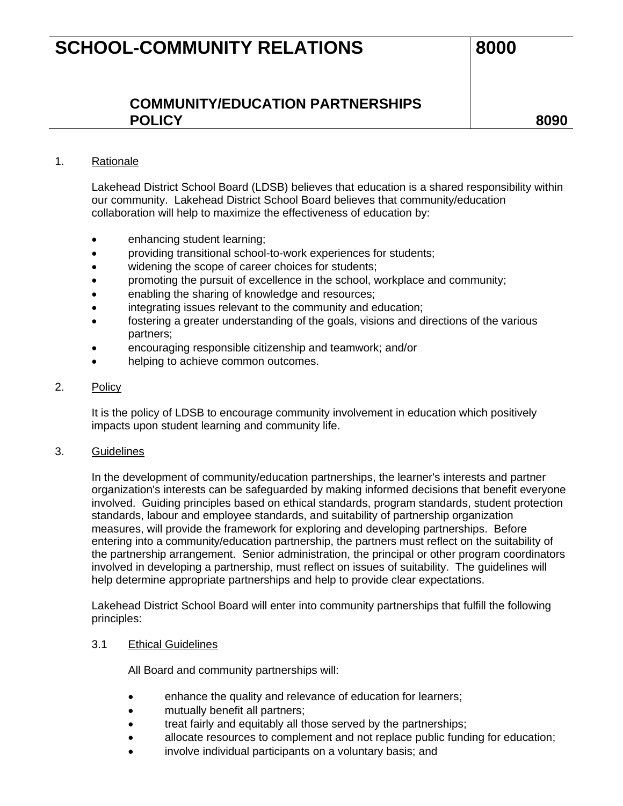# **SCHOOL-COMMUNITY RELATIONS** 8000

# **COMMUNITY/EDUCATION PARTNERSHIPS POLICY 8090**

## 1. Rationale

Lakehead District School Board (LDSB) believes that education is a shared responsibility within our community. Lakehead District School Board believes that community/education collaboration will help to maximize the effectiveness of education by:

- enhancing student learning;
- providing transitional school-to-work experiences for students;
- widening the scope of career choices for students;
- promoting the pursuit of excellence in the school, workplace and community;
- enabling the sharing of knowledge and resources;
- integrating issues relevant to the community and education;
- fostering a greater understanding of the goals, visions and directions of the various partners;
- encouraging responsible citizenship and teamwork; and/or
- helping to achieve common outcomes.

#### 2. Policy

It is the policy of LDSB to encourage community involvement in education which positively impacts upon student learning and community life.

#### 3. Guidelines

In the development of community/education partnerships, the learner's interests and partner organization's interests can be safeguarded by making informed decisions that benefit everyone involved. Guiding principles based on ethical standards, program standards, student protection standards, labour and employee standards, and suitability of partnership organization measures, will provide the framework for exploring and developing partnerships. Before entering into a community/education partnership, the partners must reflect on the suitability of the partnership arrangement. Senior administration, the principal or other program coordinators involved in developing a partnership, must reflect on issues of suitability. The guidelines will help determine appropriate partnerships and help to provide clear expectations.

Lakehead District School Board will enter into community partnerships that fulfill the following principles:

### 3.1 Ethical Guidelines

All Board and community partnerships will:

- enhance the quality and relevance of education for learners;
- mutually benefit all partners;
- treat fairly and equitably all those served by the partnerships;
- allocate resources to complement and not replace public funding for education;
- involve individual participants on a voluntary basis; and